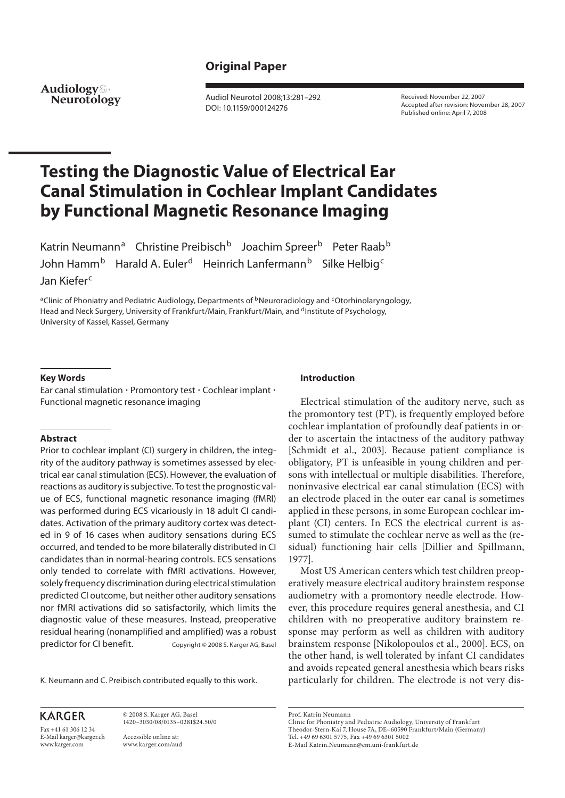# **Original Paper**

**Neurotology Audiology**

 Audiol Neurotol 2008;13:281–292 DOI: 10.1159/000124276

 Received: November 22, 2007 Accepted after revision: November 28, 2007 Published online: April 7, 2008

# **Testing the Diagnostic Value of Electrical Ear Canal Stimulation in Cochlear Implant Candidates by Functional Magnetic Resonance Imaging**

Katrin Neumann<sup>a</sup> Christine Preibisch<sup>b</sup> Joachim Spreer<sup>b</sup> Peter Raab<sup>b</sup> John Hamm<sup>b</sup> Harald A. Euler<sup>d</sup> Heinrich Lanfermann<sup>b</sup> Silke Helbig<sup>c</sup> Jan Kiefer<sup>c</sup>

<sup>a</sup> Clinic of Phoniatry and Pediatric Audiology, Departments of <sup>b</sup> Neuroradiology and <sup>c</sup> Otorhinolaryngology, Head and Neck Surgery, University of Frankfurt/Main, Frankfurt/Main, and <sup>d</sup> Institute of Psychology, University of Kassel, Kassel, Germany

# **Key Words**

Ear canal stimulation · Promontory test · Cochlear implant · Functional magnetic resonance imaging

#### **Abstract**

 Prior to cochlear implant (CI) surgery in children, the integrity of the auditory pathway is sometimes assessed by electrical ear canal stimulation (ECS). However, the evaluation of reactions as auditory is subjective. To test the prognostic value of ECS, functional magnetic resonance imaging (fMRI) was performed during ECS vicariously in 18 adult CI candidates. Activation of the primary auditory cortex was detected in 9 of 16 cases when auditory sensations during ECS occurred, and tended to be more bilaterally distributed in CI candidates than in normal-hearing controls. ECS sensations only tended to correlate with fMRI activations. However, solely frequency discrimination during electrical stimulation predicted CI outcome, but neither other auditory sensations nor fMRI activations did so satisfactorily, which limits the diagnostic value of these measures. Instead, preoperative residual hearing (nonamplified and amplified) was a robust predictor for CI benefit. Copyright © 2008 S. Karger AG, Basel

K. Neumann and C. Preibisch contributed equally to this work.

Fax +41 61 306 12 34 E-Mail karger@karger.ch www.karger.com

**KARGER** 

 © 2008 S. Karger AG, Basel 1420–3030/08/0135–0281\$24.50/0

 Accessible online at: www.karger.com/aud

#### **Introduction**

 Electrical stimulation of the auditory nerve, such as the promontory test (PT), is frequently employed before cochlear implantation of profoundly deaf patients in order to ascertain the intactness of the auditory pathway [Schmidt et al., 2003]. Because patient compliance is obligatory, PT is unfeasible in young children and persons with intellectual or multiple disabilities. Therefore, noninvasive electrical ear canal stimulation (ECS) with an electrode placed in the outer ear canal is sometimes applied in these persons, in some European cochlear implant (CI) centers. In ECS the electrical current is assumed to stimulate the cochlear nerve as well as the (residual) functioning hair cells [Dillier and Spillmann, 1977].

 Most US American centers which test children preoperatively measure electrical auditory brainstem response audiometry with a promontory needle electrode. However, this procedure requires general anesthesia, and CI children with no preoperative auditory brainstem response may perform as well as children with auditory brainstem response [Nikolopoulos et al., 2000]. ECS, on the other hand, is well tolerated by infant CI candidates and avoids repeated general anesthesia which bears risks particularly for children. The electrode is not very dis-

Prof. Katrin Neumann

 Clinic for Phoniatry and Pediatric Audiology, University of Frankfurt Theodor-Stern-Kai 7, House 7A, DE–60590 Frankfurt/Main (Germany) Tel. +49 69 6301 5775, Fax +49 69 6301 5002 E-Mail Katrin.Neumann@em.uni-frankfurt.de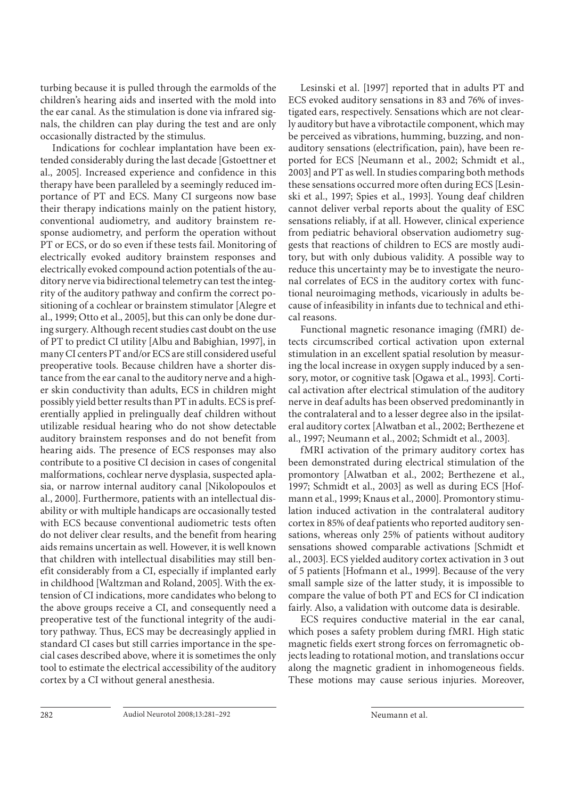turbing because it is pulled through the earmolds of the children's hearing aids and inserted with the mold into the ear canal. As the stimulation is done via infrared signals, the children can play during the test and are only occasionally distracted by the stimulus.

 Indications for cochlear implantation have been extended considerably during the last decade [Gstoettner et al., 2005]. Increased experience and confidence in this therapy have been paralleled by a seemingly reduced importance of PT and ECS. Many CI surgeons now base their therapy indications mainly on the patient history, conventional audiometry, and auditory brainstem response audiometry, and perform the operation without PT or ECS, or do so even if these tests fail. Monitoring of electrically evoked auditory brainstem responses and electrically evoked compound action potentials of the auditory nerve via bidirectional telemetry can test the integrity of the auditory pathway and confirm the correct positioning of a cochlear or brainstem stimulator [Alegre et al., 1999; Otto et al., 2005], but this can only be done during surgery. Although recent studies cast doubt on the use of PT to predict CI utility [Albu and Babighian, 1997], in many CI centers PT and/or ECS are still considered useful preoperative tools. Because children have a shorter distance from the ear canal to the auditory nerve and a higher skin conductivity than adults, ECS in children might possibly yield better results than PT in adults. ECS is preferentially applied in prelingually deaf children without utilizable residual hearing who do not show detectable auditory brainstem responses and do not benefit from hearing aids. The presence of ECS responses may also contribute to a positive CI decision in cases of congenital malformations, cochlear nerve dysplasia, suspected aplasia, or narrow internal auditory canal [Nikolopoulos et al., 2000]. Furthermore, patients with an intellectual disability or with multiple handicaps are occasionally tested with ECS because conventional audiometric tests often do not deliver clear results, and the benefit from hearing aids remains uncertain as well. However, it is well known that children with intellectual disabilities may still benefit considerably from a CI, especially if implanted early in childhood [Waltzman and Roland, 2005]. With the extension of CI indications, more candidates who belong to the above groups receive a CI, and consequently need a preoperative test of the functional integrity of the auditory pathway. Thus, ECS may be decreasingly applied in standard CI cases but still carries importance in the special cases described above, where it is sometimes the only tool to estimate the electrical accessibility of the auditory cortex by a CI without general anesthesia.

 Lesinski et al. [1997] reported that in adults PT and ECS evoked auditory sensations in 83 and 76% of investigated ears, respectively. Sensations which are not clearly auditory but have a vibrotactile component, which may be perceived as vibrations, humming, buzzing, and nonauditory sensations (electrification, pain), have been reported for ECS [Neumann et al., 2002; Schmidt et al., 2003] and PT as well. In studies comparing both methods these sensations occurred more often during ECS [Lesinski et al., 1997; Spies et al., 1993]. Young deaf children cannot deliver verbal reports about the quality of ESC sensations reliably, if at all. However, clinical experience from pediatric behavioral observation audiometry suggests that reactions of children to ECS are mostly auditory, but with only dubious validity. A possible way to reduce this uncertainty may be to investigate the neuronal correlates of ECS in the auditory cortex with functional neuroimaging methods, vicariously in adults because of infeasibility in infants due to technical and ethical reasons.

 Functional magnetic resonance imaging (fMRI) detects circumscribed cortical activation upon external stimulation in an excellent spatial resolution by measuring the local increase in oxygen supply induced by a sensory, motor, or cognitive task [Ogawa et al., 1993]. Cortical activation after electrical stimulation of the auditory nerve in deaf adults has been observed predominantly in the contralateral and to a lesser degree also in the ipsilateral auditory cortex [Alwatban et al., 2002; Berthezene et al., 1997; Neumann et al., 2002; Schmidt et al., 2003].

 fMRI activation of the primary auditory cortex has been demonstrated during electrical stimulation of the promontory [Alwatban et al., 2002; Berthezene et al., 1997; Schmidt et al., 2003] as well as during ECS [Hofmann et al., 1999; Knaus et al., 2000]. Promontory stimulation induced activation in the contralateral auditory cortex in 85% of deaf patients who reported auditory sensations, whereas only 25% of patients without auditory sensations showed comparable activations [Schmidt et al., 2003]. ECS yielded auditory cortex activation in 3 out of 5 patients [Hofmann et al., 1999]. Because of the very small sample size of the latter study, it is impossible to compare the value of both PT and ECS for CI indication fairly. Also, a validation with outcome data is desirable.

 ECS requires conductive material in the ear canal, which poses a safety problem during fMRI. High static magnetic fields exert strong forces on ferromagnetic objects leading to rotational motion, and translations occur along the magnetic gradient in inhomogeneous fields. These motions may cause serious injuries. Moreover,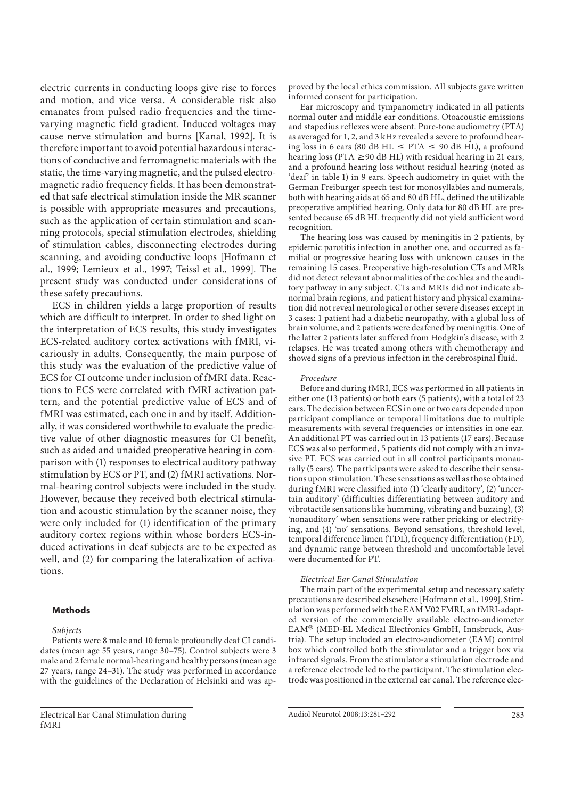electric currents in conducting loops give rise to forces and motion, and vice versa. A considerable risk also emanates from pulsed radio frequencies and the timevarying magnetic field gradient. Induced voltages may cause nerve stimulation and burns [Kanal, 1992]. It is therefore important to avoid potential hazardous interactions of conductive and ferromagnetic materials with the static, the time-varying magnetic, and the pulsed electromagnetic radio frequency fields. It has been demonstrated that safe electrical stimulation inside the MR scanner is possible with appropriate measures and precautions, such as the application of certain stimulation and scanning protocols, special stimulation electrodes, shielding of stimulation cables, disconnecting electrodes during scanning, and avoiding conductive loops [Hofmann et al., 1999; Lemieux et al., 1997; Teissl et al., 1999]. The present study was conducted under considerations of these safety precautions.

 ECS in children yields a large proportion of results which are difficult to interpret. In order to shed light on the interpretation of ECS results, this study investigates ECS-related auditory cortex activations with fMRI, vicariously in adults. Consequently, the main purpose of this study was the evaluation of the predictive value of ECS for CI outcome under inclusion of fMRI data. Reactions to ECS were correlated with fMRI activation pattern, and the potential predictive value of ECS and of fMRI was estimated, each one in and by itself. Additionally, it was considered worthwhile to evaluate the predictive value of other diagnostic measures for CI benefit, such as aided and unaided preoperative hearing in comparison with (1) responses to electrical auditory pathway stimulation by ECS or PT, and (2) fMRI activations. Normal-hearing control subjects were included in the study. However, because they received both electrical stimulation and acoustic stimulation by the scanner noise, they were only included for (1) identification of the primary auditory cortex regions within whose borders ECS-induced activations in deaf subjects are to be expected as well, and (2) for comparing the lateralization of activations.

#### **Methods**

 *Subjects* 

 Patients were 8 male and 10 female profoundly deaf CI candidates (mean age 55 years, range 30–75). Control subjects were 3 male and 2 female normal-hearing and healthy persons (mean age 27 years, range 24–31). The study was performed in accordance with the guidelines of the Declaration of Helsinki and was approved by the local ethics commission. All subjects gave written informed consent for participation.

 Ear microscopy and tympanometry indicated in all patients normal outer and middle ear conditions. Otoacoustic emissions and stapedius reflexes were absent. Pure-tone audiometry (PTA) as averaged for 1, 2, and 3 kHz revealed a severe to profound hearing loss in 6 ears (80 dB HL  $\leq$  PTA  $\leq$  90 dB HL), a profound hearing loss (PTA  $\geq$ 90 dB HL) with residual hearing in 21 ears, and a profound hearing loss without residual hearing (noted as 'deaf' in table 1) in 9 ears. Speech audiometry in quiet with the German Freiburger speech test for monosyllables and numerals, both with hearing aids at 65 and 80 dB HL, defined the utilizable preoperative amplified hearing. Only data for 80 dB HL are presented because 65 dB HL frequently did not yield sufficient word recognition.

 The hearing loss was caused by meningitis in 2 patients, by epidemic parotitis infection in another one, and occurred as familial or progressive hearing loss with unknown causes in the remaining 15 cases. Preoperative high-resolution CTs and MRIs did not detect relevant abnormalities of the cochlea and the auditory pathway in any subject. CTs and MRIs did not indicate abnormal brain regions, and patient history and physical examination did not reveal neurological or other severe diseases except in 3 cases: 1 patient had a diabetic neuropathy, with a global loss of brain volume, and 2 patients were deafened by meningitis. One of the latter 2 patients later suffered from Hodgkin's disease, with 2 relapses. He was treated among others with chemotherapy and showed signs of a previous infection in the cerebrospinal fluid.

#### *Procedure*

 Before and during fMRI, ECS was performed in all patients in either one (13 patients) or both ears (5 patients), with a total of 23 ears. The decision between ECS in one or two ears depended upon participant compliance or temporal limitations due to multiple measurements with several frequencies or intensities in one ear. An additional PT was carried out in 13 patients (17 ears). Because ECS was also performed, 5 patients did not comply with an invasive PT. ECS was carried out in all control participants monaurally (5 ears). The participants were asked to describe their sensations upon stimulation. These sensations as well as those obtained during fMRI were classified into (1) 'clearly auditory', (2) 'uncertain auditory' (difficulties differentiating between auditory and vibrotactile sensations like humming, vibrating and buzzing), (3) 'nonauditory' when sensations were rather pricking or electrifying, and (4) 'no' sensations. Beyond sensations, threshold level, temporal difference limen (TDL), frequency differentiation (FD), and dynamic range between threshold and uncomfortable level were documented for PT.

#### *Electrical Ear Canal Stimulation*

 The main part of the experimental setup and necessary safety precautions are described elsewhere [Hofmann et al., 1999]. Stimulation was performed with the EAM V02 FMRI, an fMRI-adapted version of the commercially available electro-audiometer EAM® (MED-EL Medical Electronics GmbH, Innsbruck, Austria). The setup included an electro-audiometer (EAM) control box which controlled both the stimulator and a trigger box via infrared signals. From the stimulator a stimulation electrode and a reference electrode led to the participant. The stimulation electrode was positioned in the external ear canal. The reference elec-

Audiol Neurotol 2008;13:281-292 283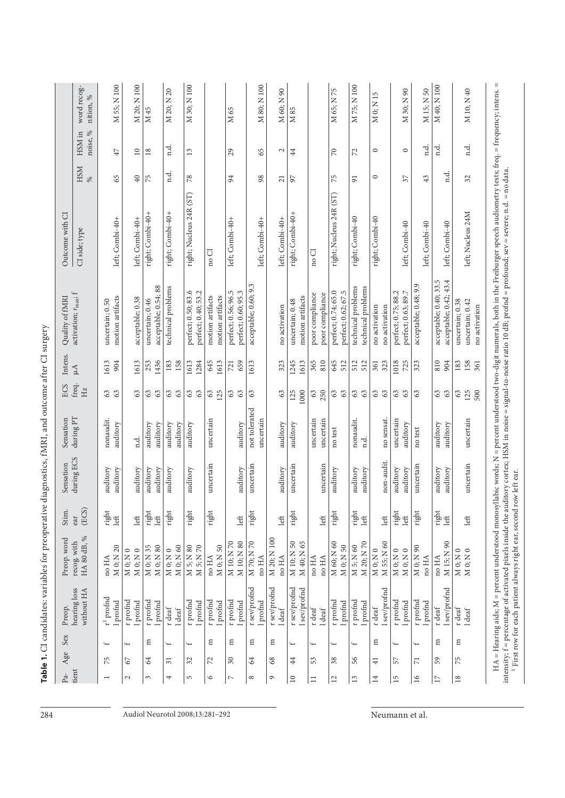|                 | word recog-<br>nition, %             | M 55; N 100                                                    |                   | M 20; N 100      | M45              |                      | M 20; N 20         |               | M 30; N 100                                                                      |                     |                  | M65                 |                     | M 80; N 100                 |              | M 60; N 90      | M <sub>85</sub>  |                  |                                    | M 65; N 75              |                     | M 75; N 100                              | M 0; N 15       |               |                     | M 30; N 90          | M <sub>15</sub> ; N <sub>50</sub> | M 40; N 100                                      |                                                                                                                                         | M 10; N 40        |               |
|-----------------|--------------------------------------|----------------------------------------------------------------|-------------------|------------------|------------------|----------------------|--------------------|---------------|----------------------------------------------------------------------------------|---------------------|------------------|---------------------|---------------------|-----------------------------|--------------|-----------------|------------------|------------------|------------------------------------|-------------------------|---------------------|------------------------------------------|-----------------|---------------|---------------------|---------------------|-----------------------------------|--------------------------------------------------|-----------------------------------------------------------------------------------------------------------------------------------------|-------------------|---------------|
|                 | noise, %<br>HSM in                   | 47                                                             |                   | $\overline{10}$  | $18\,$           |                      | d.                 |               | 13                                                                               |                     |                  | 29                  |                     | 65                          |              | $\mathcal{L}$   | 44               |                  |                                    | $\overline{70}$         |                     | 72                                       | $\circ$         |               |                     | $\circ$             | n.d.                              | d.<br>E                                          |                                                                                                                                         | n.d.              |               |
|                 | HSM<br>$\%$                          | 65                                                             |                   | $\overline{40}$  | 75               |                      | d.                 |               | $78\,$                                                                           |                     |                  | 94                  |                     | 98                          |              | $\overline{c}$  | 55               |                  |                                    | 75                      |                     | $\overline{91}$                          | $\circ$         |               |                     | 37                  | 43                                | ਦੇ<br>ਜ                                          |                                                                                                                                         | 32                |               |
| Outcome with Cl | CI side; type                        | left; Combi-40+                                                |                   | left; Combi-40+  | right; Combi-40+ |                      | right; Combi-40+   |               | right; Nucleus 24R (ST)                                                          | $\rm no~CI$         |                  | left; Combi-40+     |                     | left; Combi-40+             |              | left; Combi-40+ | right; Combi-40+ |                  | $\rm no~CI$                        | right; Nucleus 24R (ST) |                     | right; Combi-40                          | right; Combi-40 |               |                     | left; Combi-40      | left; Combi-40                    | left; Combi-40                                   |                                                                                                                                         | left; Nucleus 24M |               |
| Quality of fMRI | activation; $r_{\text{max}}$ ; f     | motion artifacts<br>uncertain; 0.50                            |                   | acceptable; 0.38 | uncertain; 0.46  | acceptable; 0.54; 88 | technical problems |               | perfect; 0.50; 83.6<br>perfect; 0.40; 53.2                                       | motion artifacts    | motion artifacts | perfect; 0.56; 96.5 | perfect; 0.60; 95.3 | acceptable; 0.60; 9.3       |              | no activation   | uncertain; 0.48  | motion artifacts | poor compliance<br>poor compliance | perfect; 0.74; 65.0     | perfect; 0.62; 67.5 | technical problems<br>technical problems | no activation   | no activation | perfect; 0.75; 88.2 | perfect; 0.63; 89.7 | acceptable; 0.48; 9.9             | acceptable; 0.42; 43.4<br>acceptable; 0.40; 33.5 | uncertain; 0.38                                                                                                                         | uncertain; 0.42   | no activation |
| Intens.         | Αμ                                   | 1613<br>904                                                    |                   | 1613             | 253              | 1436                 | 183                | 158           | 1613<br>1284                                                                     | 645                 | 1613             | 721                 | 659                 | 1613                        |              | 323             | 1245             | 1613             | 810<br>365                         | 645                     | 512                 | 512<br>512                               | 361             | 323           | 1018                | 725                 | 323                               | 810<br>904                                       | 183                                                                                                                                     | 158               | 361           |
| ECS             | freq.<br>Hz                          | 63                                                             |                   | 63               | 63               | 63                   | $63$               | 63            | 63<br>63                                                                         | $63$                | 125              | 63                  | 63                  | 63                          |              | 63              | 125              | 1000             | 250<br>63                          | 63                      | 63                  | 63<br>$63$                               | $63$            | 63            | $63$                | 63                  | 63                                | 63<br>63                                         | $63$                                                                                                                                    | 125               | 500           |
| Sensation       | during PT                            | nonaudit.<br>auditory                                          |                   | n.d.             | auditory         | auditory             | auditory           | auditory      | auditory                                                                         | uncertain           |                  |                     | auditory            | not tolerated<br>uncertain  |              | auditory        | auditory         |                  | uncertain<br>uncertain             | no test                 |                     | nonaudit.<br>n.d.                        |                 | no sensat     | uncertain           | auditory            | no test                           | auditory<br>auditory                             |                                                                                                                                         | uncertain         |               |
| Sensation       | during ECS                           | auditory<br>auditory                                           |                   | auditory         | auditory         | auditory             | auditory           |               | auditory                                                                         | uncertain           |                  |                     | auditory            | uncertain                   |              | auditory        | uncertain        |                  | uncertain                          | auditory                |                     | auditory<br>auditory                     |                 | non-audit     | auditory            | auditory            | uncertain                         | auditory<br>auditory                             |                                                                                                                                         | uncertain         |               |
| Stim.           | (ECS)<br>ear                         | $\begin{array}{c} \mathbf{right} \\ \mathbf{left} \end{array}$ |                   | left             | right            | left                 | right              |               | right                                                                            | right               |                  |                     | left                | right                       |              | left            | right            |                  | left                               | right                   |                     | right<br>left                            |                 | left          | right               | left                | right                             | right<br>left                                    |                                                                                                                                         | left              |               |
| Preop. word     | recog. with<br>$\rm{HA}$ 80 dB, $\%$ | M 0; N 20<br>no HA                                             | $M$ 0; N $0$      | $M$ 0; N $0$     | M 0; N 35        | $M$ 0; $N\,80$       | $M$ 0; N $0$       | $M$ 0; N $60$ | $\rm \textit{M}$ 5; N $\rm \textit{80}$ M $\rm \textit{5}$ ; N $\rm \textit{70}$ | no HA               | M 0; N 50        | M 10; N 70          | M 10; N 80          | M 70; N 70<br>no ${\rm HA}$ | M 20; N 100  | no HA           | M 10; N 50       | 65<br>M 40; N    | no HA<br>no HA                     | M 60; N 60              | $M$ 0; N $50\,$     | M 20; N 70<br>M 5; N 60                  | $M$ 0; N $0$    | M 55; N 60    | $M$ 0; N $0$        | $M$ 0; N $0$        | M 0; N 90<br>no HA                | M 15; N 90<br>no HA                              | $\begin{array}{c} \mathbf{M} \, \mathbf{0}; \mathbf{N} \, \mathbf{0} \\ \mathbf{M} \, \mathbf{0}; \mathbf{N} \, \mathbf{0} \end{array}$ |                   |               |
| Preop.          | hearing loss<br>without HA           | $r^1$ profnd<br>1 profnd                                       | $\sqrt{r}$ profid | 1 profnd         | rprofnd          | 1 profnd             | r deaf             | $1$ deaf      | rprofnd<br>1 profnd                                                              | $\mathbf r$ profind | 1profnd          | $\mathbf r$ profind | 1 profnd            | r sev/profnd<br>l profnd    | r sev/profnd | 1 deaf          | r sev/profnd     | 1 sev/profnd     | r deaf<br>1 deaf                   | rprofnd                 | 1 profnd            | r profnd<br>1 profnd                     | r deaf          | 1sev/profnd   | r profnd            | 1 profnd            | $\mathbf r$ profid<br>1 profnd    | l sev/profnd<br>r deaf                           | r deaf                                                                                                                                  | 1 deaf            |               |
| Sex             |                                      | $\overline{}$                                                  | $\overline{f}$    |                  | Ξ                |                      | $\overline{ }$     |               | $\overline{ }$                                                                   | Ξ                   |                  | 둅                   |                     | Ξ                           | 둅            |                 | $\overline{ }$   |                  | $\overline{ }$                     | $\overline{ }$          |                     | $\overline{}$                            | 日               |               | ſ                   |                     | $\overline{ }$                    | Ξ                                                | Ξ                                                                                                                                       |                   |               |
| Age             |                                      | 75                                                             | 5                 |                  | 24               |                      | $\overline{31}$    |               | $\overline{\omega}$                                                              | 22                  |                  | $\boldsymbol{30}$   |                     | $\mathcal{L}$               | 68           |                 | 44               |                  | 53                                 | 38                      |                     | 56                                       | $\overline{41}$ |               | 57                  |                     | $\overline{\phantom{0}}$          | 59                                               | 75                                                                                                                                      |                   |               |
| $Pa-$           | tient                                | $\overline{ }$                                                 | $\sim$            |                  | $\epsilon$       |                      | 4                  |               | S                                                                                | $\circ$             |                  | $\triangleright$    |                     | ${}^{\circ}$                | $\circ$      |                 | $\overline{10}$  |                  | $\Box$                             | 12                      |                     | 13                                       | 14              |               | 15                  |                     | 16                                | $17\,$                                           | $18$                                                                                                                                    |                   |               |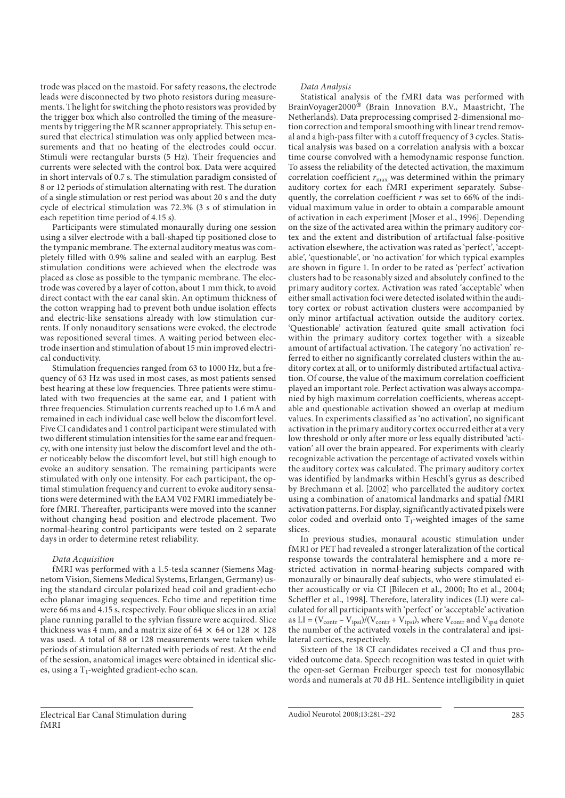trode was placed on the mastoid. For safety reasons, the electrode leads were disconnected by two photo resistors during measurements. The light for switching the photo resistors was provided by the trigger box which also controlled the timing of the measurements by triggering the MR scanner appropriately. This setup ensured that electrical stimulation was only applied between measurements and that no heating of the electrodes could occur. Stimuli were rectangular bursts (5 Hz). Their frequencies and currents were selected with the control box. Data were acquired in short intervals of 0.7 s. The stimulation paradigm consisted of 8 or 12 periods of stimulation alternating with rest. The duration of a single stimulation or rest period was about 20 s and the duty cycle of electrical stimulation was 72.3% (3 s of stimulation in each repetition time period of 4.15 s).

 Participants were stimulated monaurally during one session using a silver electrode with a ball-shaped tip positioned close to the tympanic membrane. The external auditory meatus was completely filled with 0.9% saline and sealed with an earplug. Best stimulation conditions were achieved when the electrode was placed as close as possible to the tympanic membrane. The electrode was covered by a layer of cotton, about 1 mm thick, to avoid direct contact with the ear canal skin. An optimum thickness of the cotton wrapping had to prevent both undue isolation effects and electric-like sensations already with low stimulation currents. If only nonauditory sensations were evoked, the electrode was repositioned several times. A waiting period between electrode insertion and stimulation of about 15 min improved electrical conductivity.

 Stimulation frequencies ranged from 63 to 1000 Hz, but a frequency of 63 Hz was used in most cases, as most patients sensed best hearing at these low frequencies. Three patients were stimulated with two frequencies at the same ear, and 1 patient with three frequencies. Stimulation currents reached up to 1.6 mA and remained in each individual case well below the discomfort level. Five CI candidates and 1 control participant were stimulated with two different stimulation intensities for the same ear and frequency, with one intensity just below the discomfort level and the other noticeably below the discomfort level, but still high enough to evoke an auditory sensation. The remaining participants were stimulated with only one intensity. For each participant, the optimal stimulation frequency and current to evoke auditory sensations were determined with the EAM V02 FMRI immediately before fMRI. Thereafter, participants were moved into the scanner without changing head position and electrode placement. Two normal-hearing control participants were tested on 2 separate days in order to determine retest reliability.

#### *Data Acquisition*

 fMRI was performed with a 1.5-tesla scanner (Siemens Magnetom Vision, Siemens Medical Systems, Erlangen, Germany) using the standard circular polarized head coil and gradient-echo echo planar imaging sequences. Echo time and repetition time were 66 ms and 4.15 s, respectively. Four oblique slices in an axial plane running parallel to the sylvian fissure were acquired. Slice thickness was 4 mm, and a matrix size of 64  $\times$  64 or 128  $\times$  128 was used. A total of 88 or 128 measurements were taken while periods of stimulation alternated with periods of rest. At the end of the session, anatomical images were obtained in identical slices, using a  $T_1$ -weighted gradient-echo scan.

 *Data Analysis* 

 Statistical analysis of the fMRI data was performed with BrainVoyager2000® (Brain Innovation B.V., Maastricht, The Netherlands). Data preprocessing comprised 2-dimensional motion correction and temporal smoothing with linear trend removal and a high-pass filter with a cutoff frequency of 3 cycles. Statistical analysis was based on a correlation analysis with a boxcar time course convolved with a hemodynamic response function. To assess the reliability of the detected activation, the maximum correlation coefficient  $r_{\text{max}}$  was determined within the primary auditory cortex for each fMRI experiment separately. Subsequently, the correlation coefficient *r* was set to 66% of the individual maximum value in order to obtain a comparable amount of activation in each experiment [Moser et al., 1996]. Depending on the size of the activated area within the primary auditory cortex and the extent and distribution of artifactual false-positive activation elsewhere, the activation was rated as 'perfect', 'acceptable', 'questionable', or 'no activation' for which typical examples are shown in figure 1. In order to be rated as 'perfect' activation clusters had to be reasonably sized and absolutely confined to the primary auditory cortex. Activation was rated 'acceptable' when either small activation foci were detected isolated within the auditory cortex or robust activation clusters were accompanied by only minor artifactual activation outside the auditory cortex. 'Questionable' activation featured quite small activation foci within the primary auditory cortex together with a sizeable amount of artifactual activation. The category 'no activation' referred to either no significantly correlated clusters within the auditory cortex at all, or to uniformly distributed artifactual activation. Of course, the value of the maximum correlation coefficient played an important role. Perfect activation was always accompanied by high maximum correlation coefficients, whereas acceptable and questionable activation showed an overlap at medium values. In experiments classified as 'no activation', no significant activation in the primary auditory cortex occurred either at a very low threshold or only after more or less equally distributed 'activation' all over the brain appeared. For experiments with clearly recognizable activation the percentage of activated voxels within the auditory cortex was calculated. The primary auditory cortex was identified by landmarks within Heschl's gyrus as described by Brechmann et al. [2002] who parcellated the auditory cortex using a combination of anatomical landmarks and spatial fMRI activation patterns. For display, significantly activated pixels were color coded and overlaid onto  $T_1$ -weighted images of the same slices.

 In previous studies, monaural acoustic stimulation under fMRI or PET had revealed a stronger lateralization of the cortical response towards the contralateral hemisphere and a more restricted activation in normal-hearing subjects compared with monaurally or binaurally deaf subjects, who were stimulated either acoustically or via CI [Bilecen et al., 2000; Ito et al., 2004; Scheffler et al., 1998]. Therefore, laterality indices (LI) were calculated for all participants with 'perfect' or 'acceptable' activation as LI =  $(V_{\text{contr}} - V_{\text{ipsi}})/(V_{\text{contr}} + V_{\text{ipsi}})$ , where  $V_{\text{contr}}$  and  $V_{\text{ipsi}}$  denote the number of the activated voxels in the contralateral and ipsilateral cortices, respectively.

 Sixteen of the 18 CI candidates received a CI and thus provided outcome data. Speech recognition was tested in quiet with the open-set German Freiburger speech test for monosyllabic words and numerals at 70 dB HL. Sentence intelligibility in quiet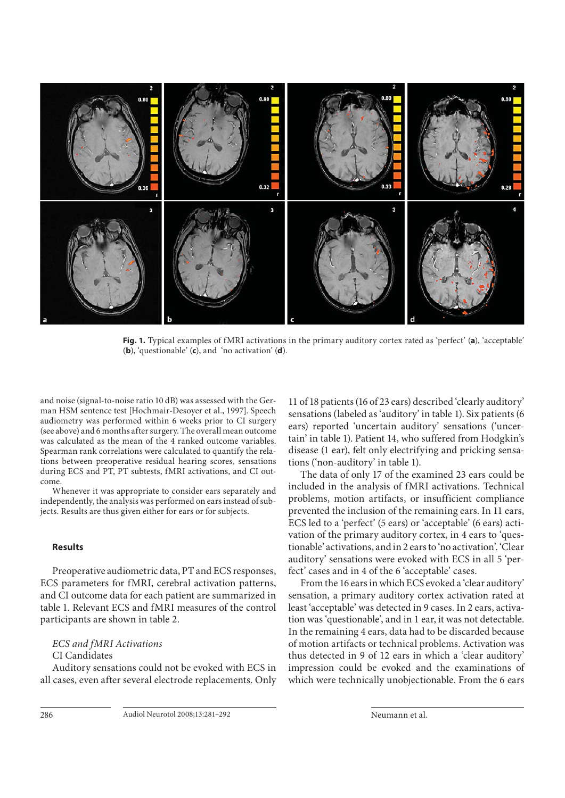

**Fig. 1.** Typical examples of fMRI activations in the primary auditory cortex rated as 'perfect' (a), 'acceptable' (**b**), 'questionable' (**c**), and 'no activation' (**d**).

and noise (signal-to-noise ratio 10 dB) was assessed with the German HSM sentence test [Hochmair-Desoyer et al., 1997]. Speech audiometry was performed within 6 weeks prior to CI surgery (see above) and 6 months after surgery. The overall mean outcome was calculated as the mean of the 4 ranked outcome variables. Spearman rank correlations were calculated to quantify the relations between preoperative residual hearing scores, sensations during ECS and PT, PT subtests, fMRI activations, and CI outcome.

 Whenever it was appropriate to consider ears separately and independently, the analysis was performed on ears instead of subjects. Results are thus given either for ears or for subjects.

## **Results**

 Preoperative audiometric data, PT and ECS responses, ECS parameters for fMRI, cerebral activation patterns, and CI outcome data for each patient are summarized in table 1. Relevant ECS and fMRI measures of the control participants are shown in table 2.

# *ECS and fMRI Activations*

# CI Candidates

 Auditory sensations could not be evoked with ECS in all cases, even after several electrode replacements. Only 11 of 18 patients (16 of 23 ears) described 'clearly auditory' sensations (labeled as 'auditory' in table 1). Six patients (6 ears) reported 'uncertain auditory' sensations ('uncertain' in table 1). Patient 14, who suffered from Hodgkin's disease (1 ear), felt only electrifying and pricking sensations ('non-auditory' in table 1).

 The data of only 17 of the examined 23 ears could be included in the analysis of fMRI activations. Technical problems, motion artifacts, or insufficient compliance prevented the inclusion of the remaining ears. In 11 ears, ECS led to a 'perfect' (5 ears) or 'acceptable' (6 ears) activation of the primary auditory cortex, in 4 ears to 'questionable' activations, and in 2 ears to 'no activation'. 'Clear auditory' sensations were evoked with ECS in all 5 'perfect' cases and in 4 of the 6 'acceptable' cases.

 From the 16 ears in which ECS evoked a 'clear auditory' sensation, a primary auditory cortex activation rated at least 'acceptable' was detected in 9 cases. In 2 ears, activation was 'questionable', and in 1 ear, it was not detectable. In the remaining 4 ears, data had to be discarded because of motion artifacts or technical problems. Activation was thus detected in 9 of 12 ears in which a 'clear auditory' impression could be evoked and the examinations of which were technically unobjectionable. From the 6 ears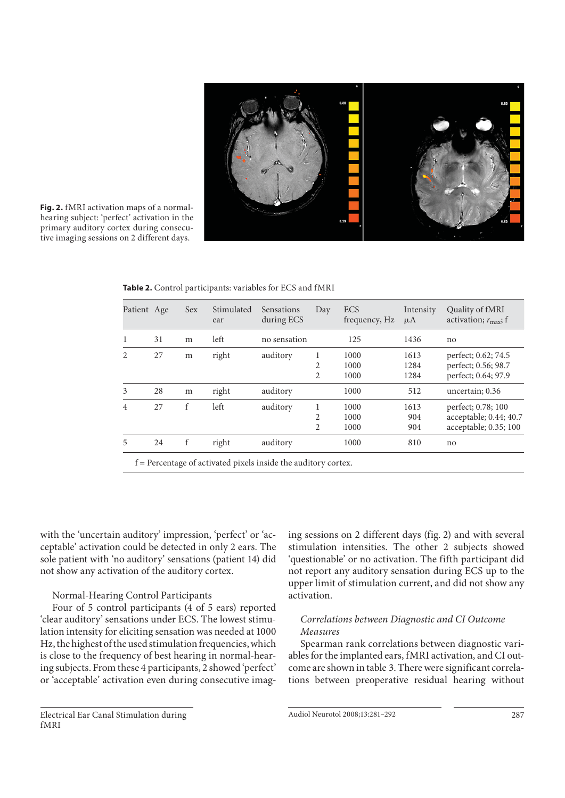

**Fig. 2.** fMRI activation maps of a normalhearing subject: 'perfect' activation in the primary auditory cortex during consecutive imaging sessions on 2 different days.

**Table 2.** Control participants: variables for ECS and fMRI

| Patient Age    |    | <b>Sex</b> | Stimulated<br>ear | Sensations<br>during ECS                                         | Day | ECS<br>frequency, Hz | Intensity<br>$\mu A$ | Quality of fMRI<br>activation; $r_{\text{max}}$ ; f |
|----------------|----|------------|-------------------|------------------------------------------------------------------|-----|----------------------|----------------------|-----------------------------------------------------|
| 1              | 31 | m          | left              | no sensation                                                     |     | 125                  | 1436                 | no                                                  |
| 2              | 27 | m          | right             | auditory                                                         | 1   | 1000                 | 1613                 | perfect; 0.62; 74.5                                 |
|                |    |            |                   |                                                                  | 2   | 1000                 | 1284                 | perfect; 0.56; 98.7                                 |
|                |    |            |                   |                                                                  | 2   | 1000                 | 1284                 | perfect; 0.64; 97.9                                 |
| 3              | 28 | m          | right             | auditory                                                         |     | 1000                 | 512                  | uncertain; 0.36                                     |
| $\overline{4}$ | 27 | f          | left              | auditory                                                         | 1   | 1000                 | 1613                 | perfect; 0.78; 100                                  |
|                |    |            |                   |                                                                  | 2   | 1000                 | 904                  | acceptable; 0.44; 40.7                              |
|                |    |            |                   |                                                                  | 2   | 1000                 | 904                  | acceptable; 0.35; 100                               |
| 5              | 24 | f          | right             | auditory                                                         |     | 1000                 | 810                  | no                                                  |
|                |    |            |                   | $f =$ Percentage of activated pixels inside the auditory cortex. |     |                      |                      |                                                     |

with the 'uncertain auditory' impression, 'perfect' or 'acceptable' activation could be detected in only 2 ears. The sole patient with 'no auditory' sensations (patient 14) did not show any activation of the auditory cortex.

## Normal-Hearing Control Participants

 Four of 5 control participants (4 of 5 ears) reported 'clear auditory' sensations under ECS. The lowest stimulation intensity for eliciting sensation was needed at 1000 Hz, the highest of the used stimulation frequencies, which is close to the frequency of best hearing in normal-hearing subjects. From these 4 participants, 2 showed 'perfect' or 'acceptable' activation even during consecutive imag-

 Electrical Ear Canal Stimulation during fMRI

ing sessions on 2 different days (fig. 2) and with several stimulation intensities. The other 2 subjects showed 'questionable' or no activation. The fifth participant did not report any auditory sensation during ECS up to the upper limit of stimulation current, and did not show any activation.

# *Correlations between Diagnostic and CI Outcome Measures*

 Spearman rank correlations between diagnostic variables for the implanted ears, fMRI activation, and CI outcome are shown in table 3. There were significant correlations between preoperative residual hearing without

Audiol Neurotol 2008;13:281-292 287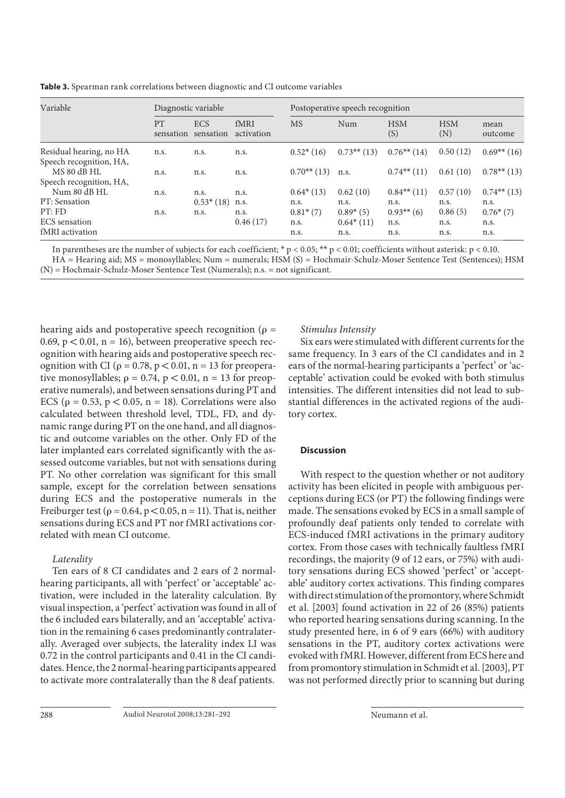**Table 3.** Spearman rank correlations between diagnostic and CI outcome variables

| Variable                                           | Diagnostic variable |                         |                    | Postoperative speech recognition |               |                   |                   |                 |  |  |  |  |
|----------------------------------------------------|---------------------|-------------------------|--------------------|----------------------------------|---------------|-------------------|-------------------|-----------------|--|--|--|--|
|                                                    | PT<br>sensation     | <b>ECS</b><br>sensation | fMRI<br>activation | <b>MS</b>                        | Num           | <b>HSM</b><br>(S) | <b>HSM</b><br>(N) | mean<br>outcome |  |  |  |  |
| Residual hearing, no HA<br>Speech recognition, HA, | n.s.                | n.s.                    | n.s.               | $0.52*(16)$                      | $0.73**$ (13) | $0.76***(14)$     | 0.50(12)          | $0.69**$ (16)   |  |  |  |  |
| MS 80 dB HL<br>Speech recognition, HA,             | n.s.                | n.s.                    | n.s.               | $0.70**$ (13)                    | n.s.          | $0.74***(11)$     | 0.61(10)          | $0.78**$ (13)   |  |  |  |  |
| Num 80 dB HL                                       | n.s.                | n.s.                    | n.s.               | $0.64*(13)$                      | 0.62(10)      | $0.84***(11)$     | 0.57(10)          | $0.74***(13)$   |  |  |  |  |
| PT: Sensation                                      |                     | $0.53*(18)$             | n.s.               | n.s.                             | n.s.          | n.s.              | n.s.              | n.s.            |  |  |  |  |
| PT: FD                                             | n.s.                | n.s.                    | n.s.               | $0.81^*(7)$                      | $0.89*(5)$    | $0.93***(6)$      | 0.86(5)           | $0.76*(7)$      |  |  |  |  |
| ECS sensation                                      |                     |                         | 0.46(17)           | n.s.                             | $0.64*(11)$   | n.s.              | n.s.              | n.s.            |  |  |  |  |
| fMRI activation                                    |                     |                         |                    | n.s.                             | n.s.          | n.s.              | n.s.              | n.s.            |  |  |  |  |

In parentheses are the number of subjects for each coefficient; \*  $p < 0.05$ ; \*\*  $p < 0.01$ ; coefficients without asterisk:  $p < 0.10$ . HA = Hearing aid; MS = monosyllables; Num = numerals; HSM (S) = Hochmair-Schulz-Moser Sentence Test (Sentences); HSM (N) = Hochmair-Schulz-Moser Sentence Test (Numerals); n.s. = not significant.

hearing aids and postoperative speech recognition ( $\rho =$ 0.69,  $p < 0.01$ ,  $n = 16$ ), between preoperative speech recognition with hearing aids and postoperative speech recognition with CI ( $\rho = 0.78$ ,  $p < 0.01$ , n = 13 for preoperative monosyllables;  $\rho = 0.74$ ,  $p < 0.01$ ,  $n = 13$  for preoperative numerals), and between sensations during PT and ECS ( $\rho = 0.53$ ,  $p < 0.05$ ,  $n = 18$ ). Correlations were also calculated between threshold level, TDL, FD, and dynamic range during PT on the one hand, and all diagnostic and outcome variables on the other. Only FD of the later implanted ears correlated significantly with the assessed outcome variables, but not with sensations during PT. No other correlation was significant for this small sample, except for the correlation between sensations during ECS and the postoperative numerals in the Freiburger test ( $\rho = 0.64$ ,  $p < 0.05$ , n = 11). That is, neither sensations during ECS and PT nor fMRI activations correlated with mean CI outcome.

# *Laterality*

 Ten ears of 8 CI candidates and 2 ears of 2 normalhearing participants, all with 'perfect' or 'acceptable' activation, were included in the laterality calculation. By visual inspection, a 'perfect' activation was found in all of the 6 included ears bilaterally, and an 'acceptable' activation in the remaining 6 cases predominantly contralaterally. Averaged over subjects, the laterality index LI was 0.72 in the control participants and 0.41 in the CI candidates. Hence, the 2 normal-hearing participants appeared to activate more contralaterally than the 8 deaf patients.

# *Stimulus Intensity*

 Six ears were stimulated with different currents for the same frequency. In 3 ears of the CI candidates and in 2 ears of the normal-hearing participants a 'perfect' or 'acceptable' activation could be evoked with both stimulus intensities. The different intensities did not lead to substantial differences in the activated regions of the auditory cortex.

# **Discussion**

 With respect to the question whether or not auditory activity has been elicited in people with ambiguous perceptions during ECS (or PT) the following findings were made. The sensations evoked by ECS in a small sample of profoundly deaf patients only tended to correlate with ECS-induced fMRI activations in the primary auditory cortex. From those cases with technically faultless fMRI recordings, the majority (9 of 12 ears, or 75%) with auditory sensations during ECS showed 'perfect' or 'acceptable' auditory cortex activations. This finding compares with direct stimulation of the promontory, where Schmidt et al. [2003] found activation in 22 of 26 (85%) patients who reported hearing sensations during scanning. In the study presented here, in 6 of 9 ears (66%) with auditory sensations in the PT, auditory cortex activations were evoked with fMRI. However, different from ECS here and from promontory stimulation in Schmidt et al. [2003], PT was not performed directly prior to scanning but during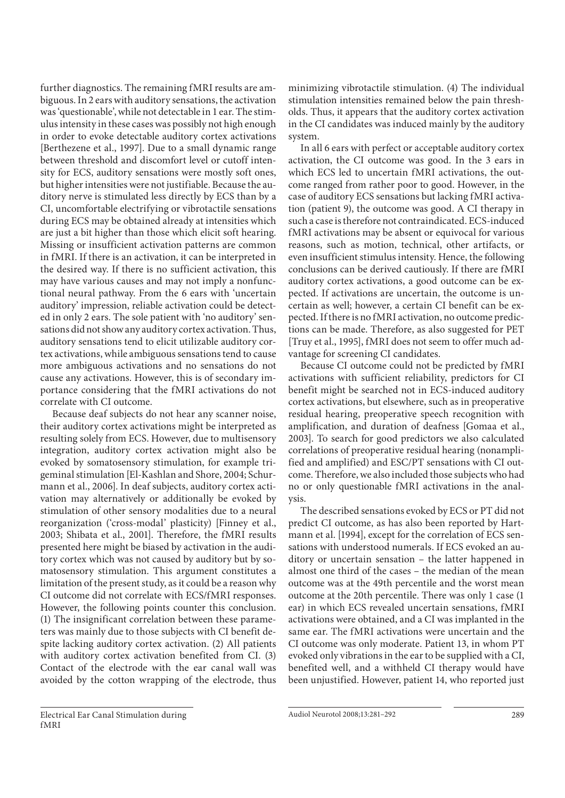further diagnostics. The remaining fMRI results are ambiguous. In 2 ears with auditory sensations, the activation was 'questionable', while not detectable in 1 ear. The stimulus intensity in these cases was possibly not high enough in order to evoke detectable auditory cortex activations [Berthezene et al., 1997]. Due to a small dynamic range between threshold and discomfort level or cutoff intensity for ECS, auditory sensations were mostly soft ones, but higher intensities were not justifiable. Because the auditory nerve is stimulated less directly by ECS than by a CI, uncomfortable electrifying or vibrotactile sensations during ECS may be obtained already at intensities which are just a bit higher than those which elicit soft hearing. Missing or insufficient activation patterns are common in fMRI. If there is an activation, it can be interpreted in the desired way. If there is no sufficient activation, this may have various causes and may not imply a nonfunctional neural pathway. From the 6 ears with 'uncertain auditory' impression, reliable activation could be detected in only 2 ears. The sole patient with 'no auditory' sensations did not show any auditory cortex activation. Thus, auditory sensations tend to elicit utilizable auditory cortex activations, while ambiguous sensations tend to cause more ambiguous activations and no sensations do not cause any activations. However, this is of secondary importance considering that the fMRI activations do not correlate with CI outcome.

 Because deaf subjects do not hear any scanner noise, their auditory cortex activations might be interpreted as resulting solely from ECS. However, due to multisensory integration, auditory cortex activation might also be evoked by somatosensory stimulation, for example trigeminal stimulation [El-Kashlan and Shore, 2004; Schurmann et al., 2006]. In deaf subjects, auditory cortex activation may alternatively or additionally be evoked by stimulation of other sensory modalities due to a neural reorganization ('cross-modal' plasticity) [Finney et al., 2003; Shibata et al., 2001]. Therefore, the fMRI results presented here might be biased by activation in the auditory cortex which was not caused by auditory but by somatosensory stimulation. This argument constitutes a limitation of the present study, as it could be a reason why CI outcome did not correlate with ECS/fMRI responses. However, the following points counter this conclusion. (1) The insignificant correlation between these parameters was mainly due to those subjects with CI benefit despite lacking auditory cortex activation. (2) All patients with auditory cortex activation benefited from CI. (3) Contact of the electrode with the ear canal wall was avoided by the cotton wrapping of the electrode, thus minimizing vibrotactile stimulation. (4) The individual stimulation intensities remained below the pain thresholds. Thus, it appears that the auditory cortex activation in the CI candidates was induced mainly by the auditory system.

 In all 6 ears with perfect or acceptable auditory cortex activation, the CI outcome was good. In the 3 ears in which ECS led to uncertain fMRI activations, the outcome ranged from rather poor to good. However, in the case of auditory ECS sensations but lacking fMRI activation (patient 9), the outcome was good. A CI therapy in such a case is therefore not contraindicated. ECS-induced fMRI activations may be absent or equivocal for various reasons, such as motion, technical, other artifacts, or even insufficient stimulus intensity. Hence, the following conclusions can be derived cautiously. If there are fMRI auditory cortex activations, a good outcome can be expected. If activations are uncertain, the outcome is uncertain as well; however, a certain CI benefit can be expected. If there is no fMRI activation, no outcome predictions can be made. Therefore, as also suggested for PET [Truy et al., 1995], fMRI does not seem to offer much advantage for screening CI candidates.

 Because CI outcome could not be predicted by fMRI activations with sufficient reliability, predictors for CI benefit might be searched not in ECS-induced auditory cortex activations, but elsewhere, such as in preoperative residual hearing, preoperative speech recognition with amplification, and duration of deafness [Gomaa et al., 2003]. To search for good predictors we also calculated correlations of preoperative residual hearing (nonamplified and amplified) and ESC/PT sensations with CI outcome. Therefore, we also included those subjects who had no or only questionable fMRI activations in the analysis.

 The described sensations evoked by ECS or PT did not predict CI outcome, as has also been reported by Hartmann et al. [1994], except for the correlation of ECS sensations with understood numerals. If ECS evoked an auditory or uncertain sensation – the latter happened in almost one third of the cases – the median of the mean outcome was at the 49th percentile and the worst mean outcome at the 20th percentile. There was only 1 case (1 ear) in which ECS revealed uncertain sensations, fMRI activations were obtained, and a CI was implanted in the same ear. The fMRI activations were uncertain and the CI outcome was only moderate. Patient 13, in whom PT evoked only vibrations in the ear to be supplied with a CI, benefited well, and a withheld CI therapy would have been unjustified. However, patient 14, who reported just

Audiol Neurotol 2008;13:281-292 289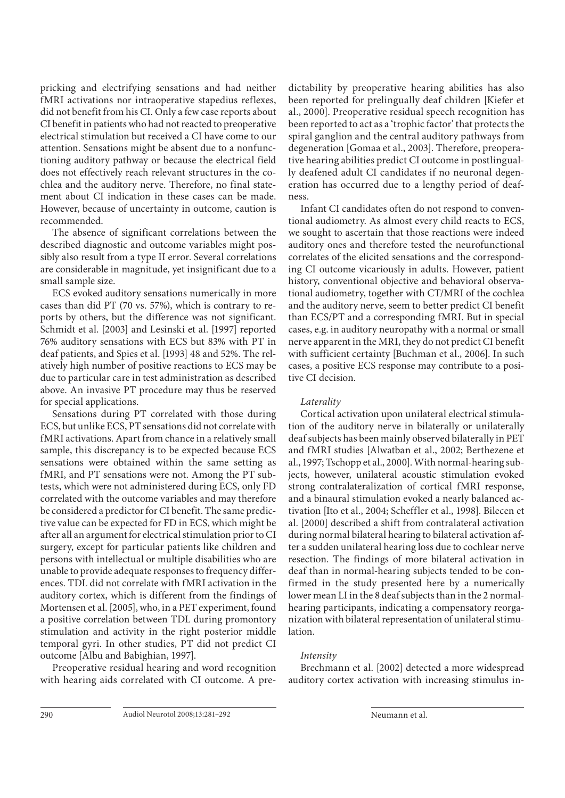pricking and electrifying sensations and had neither fMRI activations nor intraoperative stapedius reflexes, did not benefit from his CI. Only a few case reports about CI benefit in patients who had not reacted to preoperative electrical stimulation but received a CI have come to our attention. Sensations might be absent due to a nonfunctioning auditory pathway or because the electrical field does not effectively reach relevant structures in the cochlea and the auditory nerve. Therefore, no final statement about CI indication in these cases can be made. However, because of uncertainty in outcome, caution is recommended.

 The absence of significant correlations between the described diagnostic and outcome variables might possibly also result from a type II error. Several correlations are considerable in magnitude, yet insignificant due to a small sample size.

 ECS evoked auditory sensations numerically in more cases than did PT (70 vs. 57%), which is contrary to reports by others, but the difference was not significant. Schmidt et al. [2003] and Lesinski et al. [1997] reported 76% auditory sensations with ECS but 83% with PT in deaf patients, and Spies et al. [1993] 48 and 52%. The relatively high number of positive reactions to ECS may be due to particular care in test administration as described above. An invasive PT procedure may thus be reserved for special applications.

 Sensations during PT correlated with those during ECS, but unlike ECS, PT sensations did not correlate with fMRI activations. Apart from chance in a relatively small sample, this discrepancy is to be expected because ECS sensations were obtained within the same setting as fMRI, and PT sensations were not. Among the PT subtests, which were not administered during ECS, only FD correlated with the outcome variables and may therefore be considered a predictor for CI benefit. The same predictive value can be expected for FD in ECS, which might be after all an argument for electrical stimulation prior to CI surgery, except for particular patients like children and persons with intellectual or multiple disabilities who are unable to provide adequate responses to frequency differences. TDL did not correlate with fMRI activation in the auditory cortex, which is different from the findings of Mortensen et al. [2005], who, in a PET experiment, found a positive correlation between TDL during promontory stimulation and activity in the right posterior middle temporal gyri. In other studies, PT did not predict CI outcome [Albu and Babighian, 1997].

 Preoperative residual hearing and word recognition with hearing aids correlated with CI outcome. A predictability by preoperative hearing abilities has also been reported for prelingually deaf children [Kiefer et al., 2000]. Preoperative residual speech recognition has been reported to act as a 'trophic factor' that protects the spiral ganglion and the central auditory pathways from degeneration [Gomaa et al., 2003]. Therefore, preoperative hearing abilities predict CI outcome in postlingually deafened adult CI candidates if no neuronal degeneration has occurred due to a lengthy period of deafness.

 Infant CI candidates often do not respond to conventional audiometry. As almost every child reacts to ECS, we sought to ascertain that those reactions were indeed auditory ones and therefore tested the neurofunctional correlates of the elicited sensations and the corresponding CI outcome vicariously in adults. However, patient history, conventional objective and behavioral observational audiometry, together with CT/MRI of the cochlea and the auditory nerve, seem to better predict CI benefit than ECS/PT and a corresponding fMRI. But in special cases, e.g. in auditory neuropathy with a normal or small nerve apparent in the MRI, they do not predict CI benefit with sufficient certainty [Buchman et al., 2006]. In such cases, a positive ECS response may contribute to a positive CI decision.

# *Laterality*

 Cortical activation upon unilateral electrical stimulation of the auditory nerve in bilaterally or unilaterally deaf subjects has been mainly observed bilaterally in PET and fMRI studies [Alwatban et al., 2002; Berthezene et al., 1997; Tschopp et al., 2000]. With normal-hearing subjects, however, unilateral acoustic stimulation evoked strong contralateralization of cortical fMRI response, and a binaural stimulation evoked a nearly balanced activation [Ito et al., 2004; Scheffler et al., 1998]. Bilecen et al. [2000] described a shift from contralateral activation during normal bilateral hearing to bilateral activation after a sudden unilateral hearing loss due to cochlear nerve resection. The findings of more bilateral activation in deaf than in normal-hearing subjects tended to be confirmed in the study presented here by a numerically lower mean LI in the 8 deaf subjects than in the 2 normalhearing participants, indicating a compensatory reorganization with bilateral representation of unilateral stimulation.

# *Intensity*

 Brechmann et al. [2002] detected a more widespread auditory cortex activation with increasing stimulus in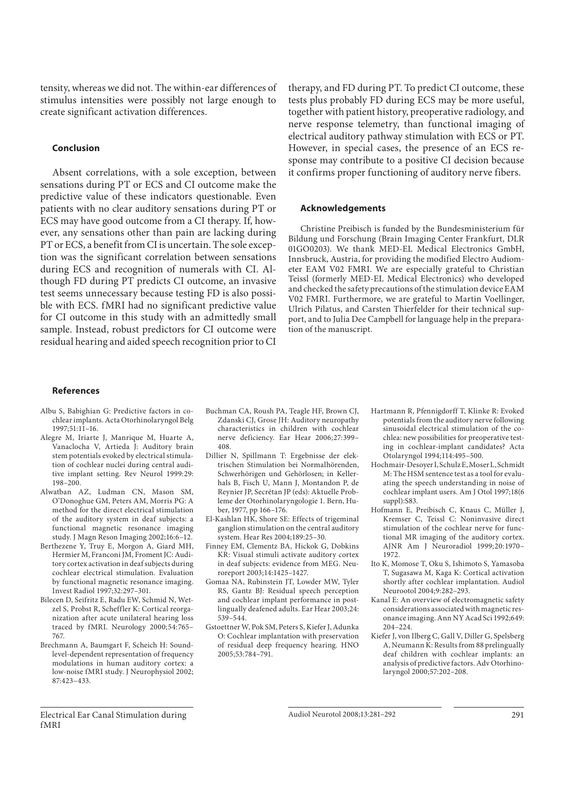tensity, whereas we did not. The within-ear differences of stimulus intensities were possibly not large enough to create significant activation differences.

#### **Conclusion**

 Absent correlations, with a sole exception, between sensations during PT or ECS and CI outcome make the predictive value of these indicators questionable. Even patients with no clear auditory sensations during PT or ECS may have good outcome from a CI therapy. If, however, any sensations other than pain are lacking during PT or ECS, a benefit from CI is uncertain. The sole exception was the significant correlation between sensations during ECS and recognition of numerals with CI. Although FD during PT predicts CI outcome, an invasive test seems unnecessary because testing FD is also possible with ECS. fMRI had no significant predictive value for CI outcome in this study with an admittedly small sample. Instead, robust predictors for CI outcome were residual hearing and aided speech recognition prior to CI

therapy, and FD during PT. To predict CI outcome, these tests plus probably FD during ECS may be more useful, together with patient history, preoperative radiology, and nerve response telemetry, than functional imaging of electrical auditory pathway stimulation with ECS or PT. However, in special cases, the presence of an ECS response may contribute to a positive CI decision because it confirms proper functioning of auditory nerve fibers.

#### **Acknowledgements**

 Christine Preibisch is funded by the Bundesministerium für Bildung und Forschung (Brain Imaging Center Frankfurt, DLR 01GO0203). We thank MED-EL Medical Electronics GmbH, Innsbruck, Austria, for providing the modified Electro Audiometer EAM V02 FMRI. We are especially grateful to Christian Teissl (formerly MED-EL Medical Electronics) who developed and checked the safety precautions of the stimulation device EAM V02 FMRI. Furthermore, we are grateful to Martin Voellinger, Ulrich Pilatus, and Carsten Thierfelder for their technical support, and to Julia Dee Campbell for language help in the preparation of the manuscript.

#### **References**

- Albu S, Babighian G: Predictive factors in cochlear implants. Acta Otorhinolaryngol Belg 1997;51:11–16.
- Alegre M, Iriarte J, Manrique M, Huarte A, Vanaclocha V, Artieda J: Auditory brain stem potentials evoked by electrical stimulation of cochlear nuclei during central auditive implant setting. Rev Neurol 1999:29: 198–200.
- Alwatban AZ, Ludman CN, Mason SM, O'Donoghue GM, Peters AM, Morris PG: A method for the direct electrical stimulation of the auditory system in deaf subjects: a functional magnetic resonance imaging study. J Magn Reson Imaging 2002;16:6–12.
- Berthezene Y, Truy E, Morgon A, Giard MH, Hermier M, Franconi JM, Froment JC: Auditory cortex activation in deaf subjects during cochlear electrical stimulation. Evaluation by functional magnetic resonance imaging. Invest Radiol 1997;32:297–301.
- Bilecen D, Seifritz E, Radu EW, Schmid N, Wetzel S, Probst R, Scheffler K: Cortical reorganization after acute unilateral hearing loss traced by fMRI. Neurology 2000;54:765– 767.
- Brechmann A, Baumgart F, Scheich H: Soundlevel-dependent representation of frequency modulations in human auditory cortex: a low-noise fMRI study. J Neurophysiol 2002; 87:423–433.
- Buchman CA, Roush PA, Teagle HF, Brown CJ, Zdanski CJ, Grose JH: Auditory neuropathy characteristics in children with cochlear nerve deficiency. Ear Hear 2006; 27: 399– 408.
- Dillier N, Spillmann T: Ergebnisse der elektrischen Stimulation bei Normalhörenden, Schwerhörigen und Gehörlosen; in Kellerhals B, Fisch U, Mann J, Montandon P, de Reynier JP, Secrétan JP (eds): Aktuelle Probleme der Otorhinolaryngologie 1. Bern, Huber, 1977, pp 166–176.
- El-Kashlan HK, Shore SE: Effects of trigeminal ganglion stimulation on the central auditory system. Hear Res 2004;189:25–30.
- Finney EM, Clementz BA, Hickok G, Dobkins KR: Visual stimuli activate auditory cortex in deaf subjects: evidence from MEG. Neuroreport 2003;14:1425–1427.
- Gomaa NA, Rubinstein JT, Lowder MW, Tyler RS, Gantz BJ: Residual speech perception and cochlear implant performance in postlingually deafened adults. Ear Hear 2003;24: 539–544.
- Gstoettner W, Pok SM, Peters S, Kiefer J, Adunka O: Cochlear implantation with preservation of residual deep frequency hearing. HNO 2005;53:784–791.
- Hartmann R, Pfennigdorff T, Klinke R: Evoked potentials from the auditory nerve following sinusoidal electrical stimulation of the cochlea: new possibilities for preoperative testing in cochlear-implant candidates? Acta Otolaryngol 1994;114:495–500.
- Hochmair-Desoyer I, Schulz E, Moser L, Schmidt M: The HSM sentence test as a tool for evaluating the speech understanding in noise of cochlear implant users. Am J Otol 1997;18(6 suppl):S83.
- Hofmann E, Preibisch C, Knaus C, Müller J, Kremser C, Teissl C: Noninvasive direct stimulation of the cochlear nerve for functional MR imaging of the auditory cortex. AJNR Am J Neuroradiol 1999; 20: 1970– 1972.
- Ito K, Momose T, Oku S, Ishimoto S, Yamasoba T, Sugasawa M, Kaga K: Cortical activation shortly after cochlear implantation. Audiol Neurootol 2004;9:282–293.
- Kanal E: An overview of electromagnetic safety considerations associated with magnetic resonance imaging. Ann NY Acad Sci 1992;649: 204–224.
- Kiefer J, von Ilberg C, Gall V, Diller G, Spelsberg A, Neumann K: Results from 88 prelingually deaf children with cochlear implants: an analysis of predictive factors. Adv Otorhinolaryngol 2000;57:202–208.

Electrical Ear Canal Stimulation during fMRI